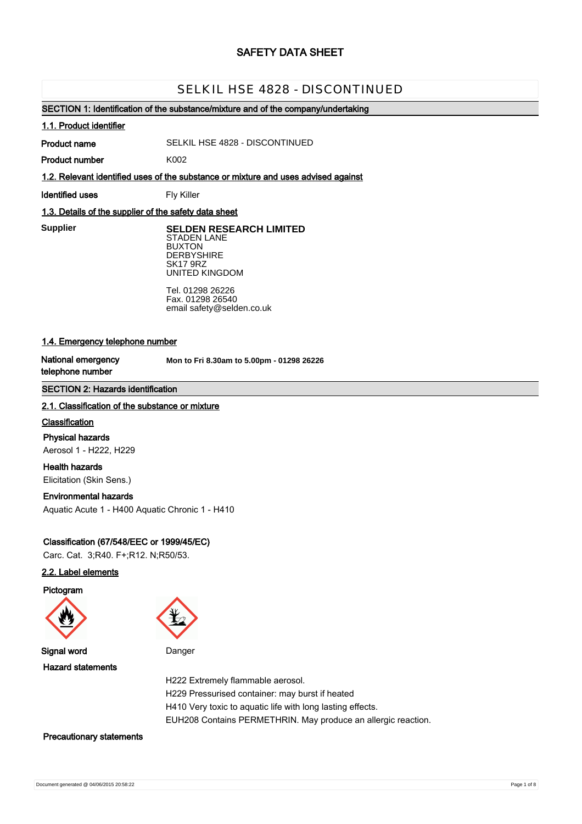# **SAFETY DATA SHEET**

# SELKIL HSE 4828 - DISCONTINUED

# **SECTION 1: Identification of the substance/mixture and of the company/undertaking**

### **1.1. Product identifier**

**Product name**

SELKIL HSE 4828 - DISCONTINUED

**Product number**

**1.2. Relevant identified uses of the substance or mixture and uses advised against**

**Identified uses** Fly Killer

K002

# **1.3. Details of the supplier of the safety data sheet**

**Supplier** 

**SELDEN RESEARCH LIMITED** STADEN LANE BUXTON

**DERBYSHIRE** SK17 9RZ UNITED KINGDOM

Tel. 01298 26226 Fax. 01298 26540 email safety@selden.co.uk

# **1.4. Emergency telephone number**

**National emergency telephone number**

**Mon to Fri 8.30am to 5.00pm - 01298 26226**

# **SECTION 2: Hazards identification**

### **2.1. Classification of the substance or mixture**

### **Classification**

**Physical hazards** Aerosol 1 - H222, H229

**Health hazards** Elicitation (Skin Sens.)

# **Environmental hazards**

Aquatic Acute 1 - H400 Aquatic Chronic 1 - H410

# **Classification (67/548/EEC or 1999/45/EC)**

Carc. Cat. 3;R40. F+;R12. N;R50/53.

# **2.2. Label elements**

**Pictogram**





**Signal word** Danger

**Hazard statements**

H222 Extremely flammable aerosol. H229 Pressurised container: may burst if heated H410 Very toxic to aquatic life with long lasting effects. EUH208 Contains PERMETHRIN. May produce an allergic reaction.

# **Precautionary statements**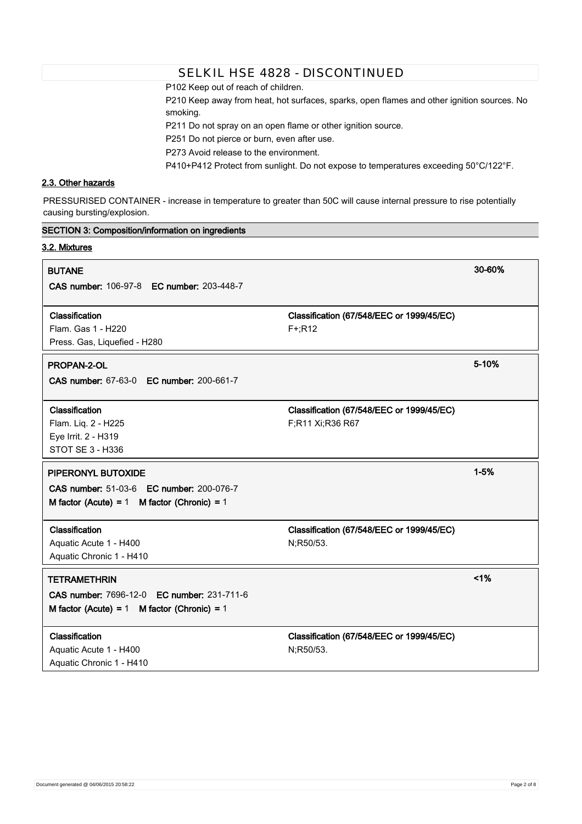P102 Keep out of reach of children.

P210 Keep away from heat, hot surfaces, sparks, open flames and other ignition sources. No smoking.

P211 Do not spray on an open flame or other ignition source.

P251 Do not pierce or burn, even after use.

P273 Avoid release to the environment.

P410+P412 Protect from sunlight. Do not expose to temperatures exceeding 50°C/122°F.

# **2.3. Other hazards**

PRESSURISED CONTAINER - increase in temperature to greater than 50C will cause internal pressure to rise potentially causing bursting/explosion.

| <b>SECTION 3: Composition/information on ingredients</b>                                                             |                                                               |          |
|----------------------------------------------------------------------------------------------------------------------|---------------------------------------------------------------|----------|
| 3.2. Mixtures                                                                                                        |                                                               |          |
| <b>BUTANE</b><br>CAS number: 106-97-8 EC number: 203-448-7                                                           |                                                               | 30-60%   |
| Classification<br>Flam. Gas 1 - H220<br>Press. Gas, Liquefied - H280                                                 | Classification (67/548/EEC or 1999/45/EC)<br>$F^{+}$ ;R12     |          |
| PROPAN-2-OL<br>CAS number: 67-63-0 EC number: 200-661-7                                                              |                                                               | 5-10%    |
| Classification<br>Flam. Liq. 2 - H225<br>Eye Irrit. 2 - H319<br>STOT SE 3 - H336                                     | Classification (67/548/EEC or 1999/45/EC)<br>F;R11 Xi;R36 R67 |          |
| PIPERONYL BUTOXIDE<br>CAS number: 51-03-6 EC number: 200-076-7<br>M factor (Acute) = $1$ M factor (Chronic) = $1$    |                                                               | $1 - 5%$ |
| Classification<br>Aquatic Acute 1 - H400<br>Aquatic Chronic 1 - H410                                                 | Classification (67/548/EEC or 1999/45/EC)<br>N;R50/53.        |          |
| <b>TETRAMETHRIN</b><br>CAS number: 7696-12-0 EC number: 231-711-6<br>M factor (Acute) = $1$ M factor (Chronic) = $1$ |                                                               | 1%       |
| Classification<br>Aquatic Acute 1 - H400<br>Aquatic Chronic 1 - H410                                                 | Classification (67/548/EEC or 1999/45/EC)<br>N;R50/53.        |          |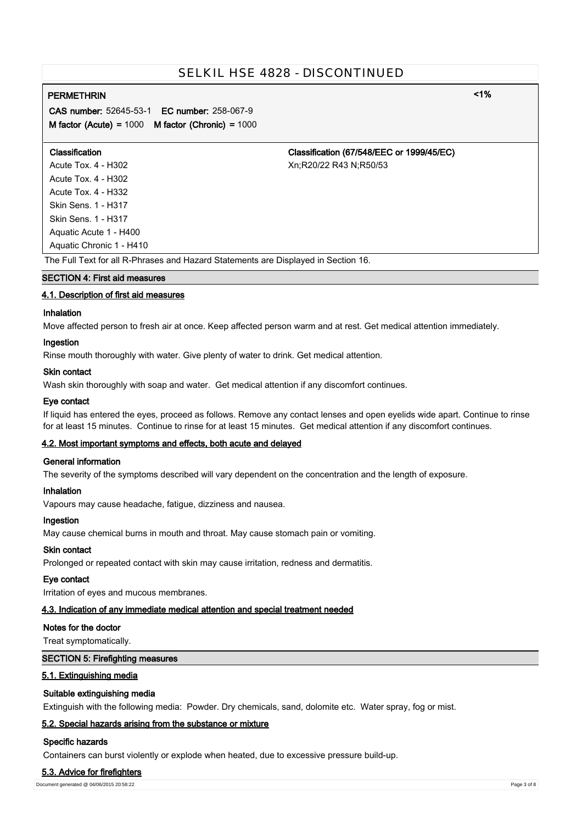# **PERMETHRIN <1%**

**CAS number:** 52645-53-1 **EC number:** 258-067-9 **M factor (Acute) =** 1000 **M factor (Chronic) =** 1000

| <b>Classification</b>                                                              | Classification (67/548/EEC or 1999/45/EC) |  |
|------------------------------------------------------------------------------------|-------------------------------------------|--|
| Acute Tox. 4 - H302                                                                | Xn:R20/22 R43 N:R50/53                    |  |
| Acute Tox. 4 - H302                                                                |                                           |  |
| Acute Tox. 4 - H332                                                                |                                           |  |
| Skin Sens. 1 - H317                                                                |                                           |  |
| Skin Sens. 1 - H317                                                                |                                           |  |
| Aguatic Acute 1 - H400                                                             |                                           |  |
| Aquatic Chronic 1 - H410                                                           |                                           |  |
| The Full Text for all R-Phrases and Hazard Statements are Displayed in Section 16. |                                           |  |

# **SECTION 4: First aid measures**

# **4.1. Description of first aid measures**

### **Inhalation**

Move affected person to fresh air at once. Keep affected person warm and at rest. Get medical attention immediately.

### **Ingestion**

Rinse mouth thoroughly with water. Give plenty of water to drink. Get medical attention.

# **Skin contact**

Wash skin thoroughly with soap and water. Get medical attention if any discomfort continues.

### **Eye contact**

If liquid has entered the eyes, proceed as follows. Remove any contact lenses and open eyelids wide apart. Continue to rinse for at least 15 minutes. Continue to rinse for at least 15 minutes. Get medical attention if any discomfort continues.

# **4.2. Most important symptoms and effects, both acute and delayed**

### **General information**

The severity of the symptoms described will vary dependent on the concentration and the length of exposure.

### **Inhalation**

Vapours may cause headache, fatigue, dizziness and nausea.

### **Ingestion**

May cause chemical burns in mouth and throat. May cause stomach pain or vomiting.

### **Skin contact**

Prolonged or repeated contact with skin may cause irritation, redness and dermatitis.

### **Eye contact**

Irritation of eyes and mucous membranes.

#### **4.3. Indication of any immediate medical attention and special treatment needed**

### **Notes for the doctor**

Treat symptomatically.

### **SECTION 5: Firefighting measures**

#### **5.1. Extinguishing media**

### **Suitable extinguishing media**

Extinguish with the following media: Powder. Dry chemicals, sand, dolomite etc. Water spray, fog or mist.

# **5.2. Special hazards arising from the substance or mixture**

#### **Specific hazards**

Containers can burst violently or explode when heated, due to excessive pressure build-up.

#### **5.3. Advice for firefighters**

Document generated @ 04/06/2015 20:58:22 Page 3 of 8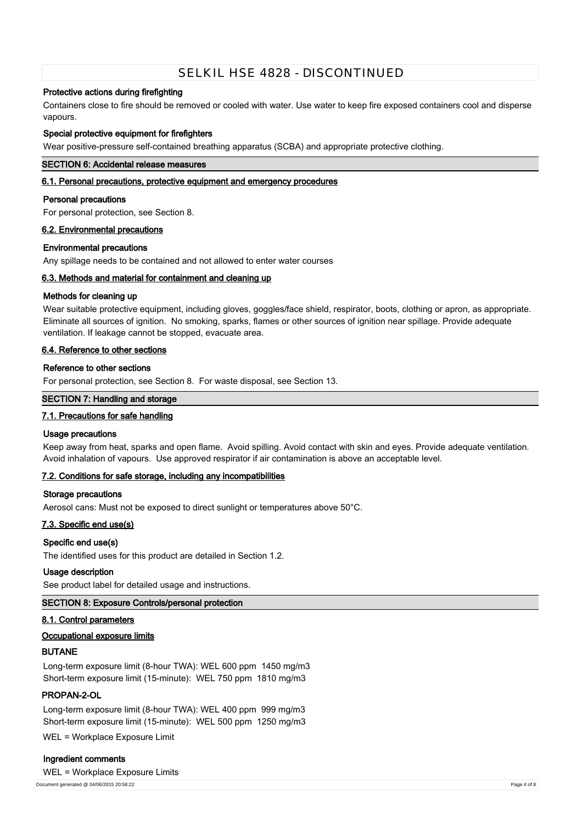# **Protective actions during firefighting**

Containers close to fire should be removed or cooled with water. Use water to keep fire exposed containers cool and disperse vapours.

### **Special protective equipment for firefighters**

Wear positive-pressure self-contained breathing apparatus (SCBA) and appropriate protective clothing.

### **SECTION 6: Accidental release measures**

# **6.1. Personal precautions, protective equipment and emergency procedures**

### **Personal precautions**

For personal protection, see Section 8.

### **6.2. Environmental precautions**

### **Environmental precautions**

Any spillage needs to be contained and not allowed to enter water courses

### **6.3. Methods and material for containment and cleaning up**

### **Methods for cleaning up**

Wear suitable protective equipment, including gloves, goggles/face shield, respirator, boots, clothing or apron, as appropriate. Eliminate all sources of ignition. No smoking, sparks, flames or other sources of ignition near spillage. Provide adequate ventilation. If leakage cannot be stopped, evacuate area.

# **6.4. Reference to other sections**

### **Reference to other sections**

For personal protection, see Section 8. For waste disposal, see Section 13.

### **SECTION 7: Handling and storage**

# **7.1. Precautions for safe handling**

### **Usage precautions**

Keep away from heat, sparks and open flame. Avoid spilling. Avoid contact with skin and eyes. Provide adequate ventilation. Avoid inhalation of vapours. Use approved respirator if air contamination is above an acceptable level.

# **7.2. Conditions for safe storage, including any incompatibilities**

### **Storage precautions**

Aerosol cans: Must not be exposed to direct sunlight or temperatures above 50°C.

# **7.3. Specific end use(s)**

### **Specific end use(s)**

The identified uses for this product are detailed in Section 1.2.

### **Usage description**

See product label for detailed usage and instructions.

# **SECTION 8: Exposure Controls/personal protection**

### **8.1. Control parameters**

### **Occupational exposure limits**

# **BUTANE**

Long-term exposure limit (8-hour TWA): WEL 600 ppm 1450 mg/m3 Short-term exposure limit (15-minute): WEL 750 ppm 1810 mg/m3

### **PROPAN-2-OL**

Long-term exposure limit (8-hour TWA): WEL 400 ppm 999 mg/m3 Short-term exposure limit (15-minute): WEL 500 ppm 1250 mg/m3

WEL = Workplace Exposure Limit

### **Ingredient comments**

WEL = Workplace Exposure Limits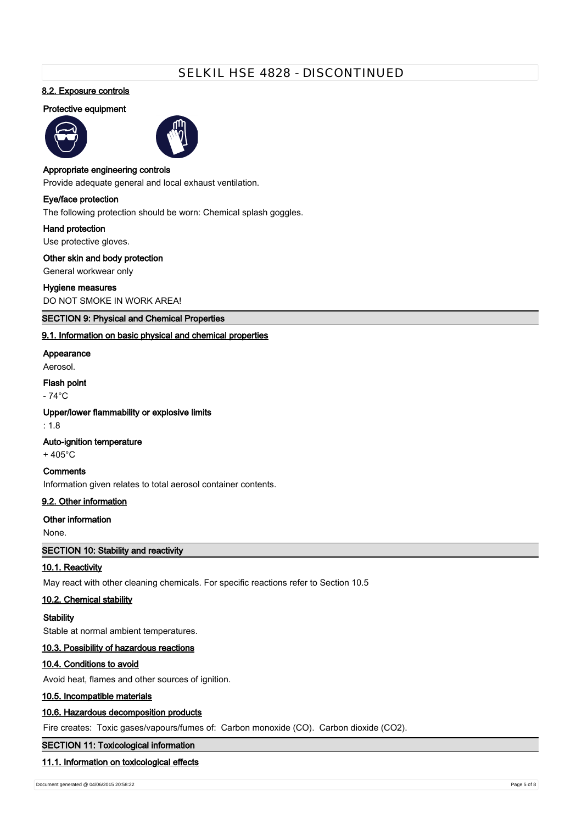# **8.2. Exposure controls**

# **Protective equipment**





#### **Appropriate engineering controls**

Provide adequate general and local exhaust ventilation.

# **Eye/face protection**

The following protection should be worn: Chemical splash goggles.

#### **Hand protection**

Use protective gloves.

### **Other skin and body protection**

General workwear only

### **Hygiene measures**

DO NOT SMOKE IN WORK AREA!

### **SECTION 9: Physical and Chemical Properties**

### **9.1. Information on basic physical and chemical properties**

#### **Appearance**

Aerosol.

# **Flash point**

- 74°C

# **Upper/lower flammability or explosive limits**

: 1.8

### **Auto-ignition temperature**

+ 405°C

# **Comments**

Information given relates to total aerosol container contents.

# **9.2. Other information**

# **Other information**

None.

# **SECTION 10: Stability and reactivity**

### **10.1. Reactivity**

May react with other cleaning chemicals. For specific reactions refer to Section 10.5

# **10.2. Chemical stability**

### **Stability**

Stable at normal ambient temperatures.

# **10.3. Possibility of hazardous reactions**

### **10.4. Conditions to avoid**

Avoid heat, flames and other sources of ignition.

# **10.5. Incompatible materials**

### **10.6. Hazardous decomposition products**

Fire creates: Toxic gases/vapours/fumes of: Carbon monoxide (CO). Carbon dioxide (CO2).

# **SECTION 11: Toxicological information**

#### **11.1. Information on toxicological effects**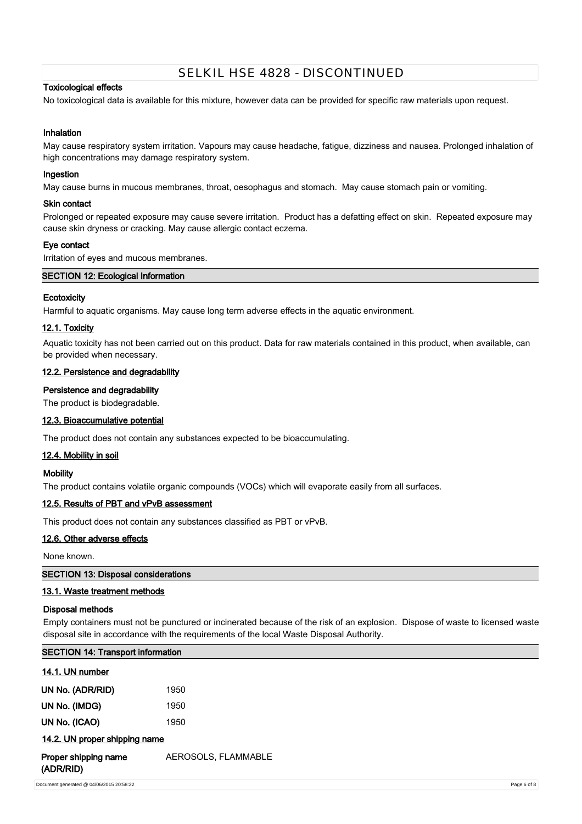# **Toxicological effects**

No toxicological data is available for this mixture, however data can be provided for specific raw materials upon request.

# **Inhalation**

May cause respiratory system irritation. Vapours may cause headache, fatigue, dizziness and nausea. Prolonged inhalation of high concentrations may damage respiratory system.

### **Ingestion**

May cause burns in mucous membranes, throat, oesophagus and stomach. May cause stomach pain or vomiting.

### **Skin contact**

Prolonged or repeated exposure may cause severe irritation. Product has a defatting effect on skin. Repeated exposure may cause skin dryness or cracking. May cause allergic contact eczema.

### **Eye contact**

Irritation of eyes and mucous membranes.

# **SECTION 12: Ecological Information**

# **Ecotoxicity**

Harmful to aquatic organisms. May cause long term adverse effects in the aquatic environment.

# **12.1. Toxicity**

Aquatic toxicity has not been carried out on this product. Data for raw materials contained in this product, when available, can be provided when necessary.

# **12.2. Persistence and degradability**

### **Persistence and degradability**

The product is biodegradable.

# **12.3. Bioaccumulative potential**

The product does not contain any substances expected to be bioaccumulating.

# **12.4. Mobility in soil**

### **Mobility**

The product contains volatile organic compounds (VOCs) which will evaporate easily from all surfaces.

# **12.5. Results of PBT and vPvB assessment**

This product does not contain any substances classified as PBT or vPvB.

# **12.6. Other adverse effects**

None known.

### **SECTION 13: Disposal considerations**

# **13.1. Waste treatment methods**

### **Disposal methods**

Empty containers must not be punctured or incinerated because of the risk of an explosion. Dispose of waste to licensed waste disposal site in accordance with the requirements of the local Waste Disposal Authority.

| <b>SECTION 14: Transport information</b> |                     |             |
|------------------------------------------|---------------------|-------------|
| 14.1. UN number                          |                     |             |
| UN No. (ADR/RID)                         | 1950                |             |
| UN No. (IMDG)                            | 1950                |             |
| UN No. (ICAO)                            | 1950                |             |
| 14.2. UN proper shipping name            |                     |             |
| Proper shipping name<br>(ADR/RID)        | AEROSOLS, FLAMMABLE |             |
| Document generated @ 04/06/2015 20:58:22 |                     | Page 6 of 8 |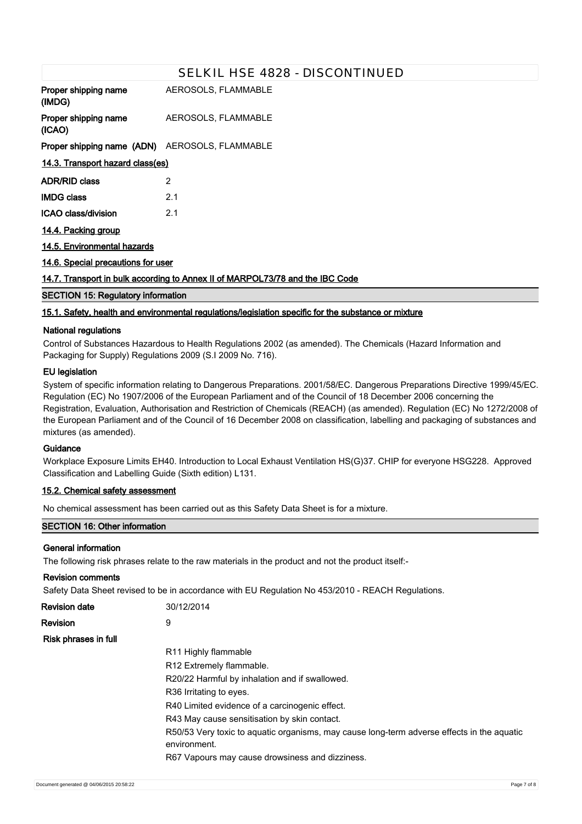|                                                                               | SELKIL HSE 4828 - DISCONTINUED |  |
|-------------------------------------------------------------------------------|--------------------------------|--|
| Proper shipping name<br>(IMDG)                                                | AEROSOLS, FLAMMABLE            |  |
| Proper shipping name<br>(ICAO)                                                | AEROSOLS, FLAMMABLE            |  |
| Proper shipping name (ADN) AEROSOLS, FLAMMABLE                                |                                |  |
| 14.3. Transport hazard class(es)                                              |                                |  |
| <b>ADR/RID class</b>                                                          | 2                              |  |
| <b>IMDG class</b>                                                             | 2.1                            |  |
| <b>ICAO class/division</b>                                                    | 2.1                            |  |
| 14.4. Packing group                                                           |                                |  |
| 14.5. Environmental hazards                                                   |                                |  |
| 14.6. Special precautions for user                                            |                                |  |
| 14.7. Transport in bulk according to Annex II of MARPOL73/78 and the IBC Code |                                |  |
| <b>SECTION 15: Regulatory information</b>                                     |                                |  |

# **15.1. Safety, health and environmental regulations/legislation specific for the substance or mixture**

# **National regulations**

Control of Substances Hazardous to Health Regulations 2002 (as amended). The Chemicals (Hazard Information and Packaging for Supply) Regulations 2009 (S.I 2009 No. 716).

### **EU legislation**

System of specific information relating to Dangerous Preparations. 2001/58/EC. Dangerous Preparations Directive 1999/45/EC. Regulation (EC) No 1907/2006 of the European Parliament and of the Council of 18 December 2006 concerning the Registration, Evaluation, Authorisation and Restriction of Chemicals (REACH) (as amended). Regulation (EC) No 1272/2008 of the European Parliament and of the Council of 16 December 2008 on classification, labelling and packaging of substances and mixtures (as amended).

# **Guidance**

Workplace Exposure Limits EH40. Introduction to Local Exhaust Ventilation HS(G)37. CHIP for everyone HSG228. Approved Classification and Labelling Guide (Sixth edition) L131.

# **15.2. Chemical safety assessment**

No chemical assessment has been carried out as this Safety Data Sheet is for a mixture.

### **SECTION 16: Other information**

### **General information**

The following risk phrases relate to the raw materials in the product and not the product itself:-

| <b>Revision comments</b> |                                                                                                            |
|--------------------------|------------------------------------------------------------------------------------------------------------|
|                          | Safety Data Sheet revised to be in accordance with EU Regulation No 453/2010 - REACH Regulations.          |
| <b>Revision date</b>     | 30/12/2014                                                                                                 |
| Revision                 | 9                                                                                                          |
| Risk phrases in full     |                                                                                                            |
|                          | R <sub>11</sub> Highly flammable                                                                           |
|                          | R12 Extremely flammable.                                                                                   |
|                          | R20/22 Harmful by inhalation and if swallowed.                                                             |
|                          | R <sub>36</sub> Irritating to eyes.                                                                        |
|                          | R40 Limited evidence of a carcinogenic effect.                                                             |
|                          | R43 May cause sensitisation by skin contact.                                                               |
|                          | R50/53 Very toxic to aquatic organisms, may cause long-term adverse effects in the aquatic<br>environment. |
|                          | R67 Vapours may cause drowsiness and dizziness.                                                            |
|                          |                                                                                                            |